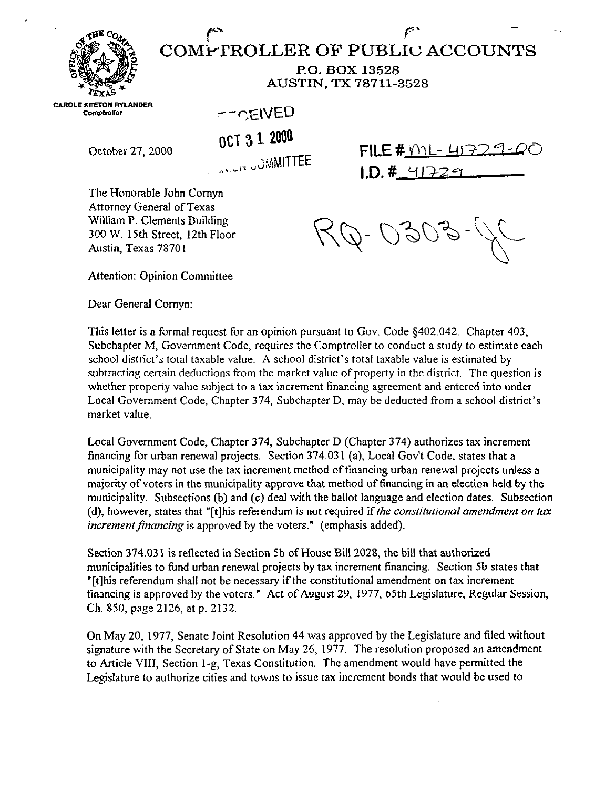

COMPTROLLER OF PUBLIC ACCOUNTS **P.O. BOX 13528** 

**AUSTIN, TX 78711-3528** 

**CAROLE KEETON RYLANDER** Comptroller

October 27,2oO0

-CEIVED

**OCT 3 1. 2000** 

**,,,, c,.< ,&MITTEE** 

**FILE #** YOL- 413  $1. D. # 417229$ 

 $\int_{\mathbb{R}^N}$  and  $\int_{\mathbb{R}^N}$  -  $\int_{\mathbb{R}^N}$ 

The Honorable John Comyn Attorney General of Texas William P. Clements Building 300 W. 15th Street, 12th Floor Austin, Texas 78701

791

Attention: Opinion Committee

Dear General Cornyn:

This letter is a formal request for an opinion pursuant to Gov. Code \$402.042. Chapter 403, Subchapter M, Government Code, requires the Comptroller to conduct a study to estimate each school district's total taxable value. A school district's total taxable value is estimated by subtracting certain deductions from the market value of property in the district. The question is whether property value subject to a tax increment financing agreement and entered into under Local Government Code, Chapter 374, Subchapter D, may be deducted from a school district's market value.

Local Government Code. Chapter 374, Subchapter D (Chapter 374) authorizes tax increment financing for urban renewal projects. Section 374.031 (a), Local Gov't Code, states that a municipality may not use the tax increment method of financing urban renewal projects unless a majority of voters in the municipality approve that method of financing in an election held by the ,municipality. Subsections (b) and (c) deal with the ballot language and election dates, Subsection (d), however, states that "[t]his referendum is not required if the constitutional amendment on tax *increment financing* is approved by the voters." (emphasis added).

Section 374.03 1 is reflected in Section Sb of House Bill 2028, the bill that authorized municipalities to fund urban renewal projects by tax increment financing. Section 5b states that "[t]his referendum shall not be necessary if the constitutional amendment on tax increment financing is approved by the voters." Act of August 29. 1977, 65th Legislature, Regular Session, Ch. 850, page 2126, at p. 2132.

On May 20, 1977, Senate Joint Resolution 44 was approved by the Legislature and tiled without signature with the Secretary of State on May 26, 1977. The resolution proposed an amendment to Article VIII, Section l-g, Texas Constitution. The amendment would have permitted the Legislature to authorize cities and towns to issue tax increment bonds that would be used to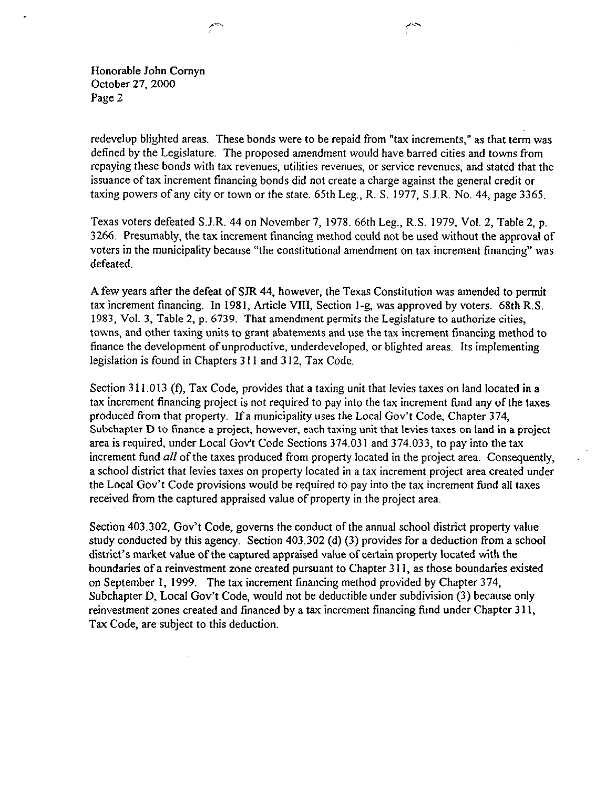Honorable John Comyn October 27, 2000 Page 2

redevelop blighted areas. These bonds were to be repaid from "tax increments," as that term was defined by the Legislature. The proposed amendment would have barred cities and towns from repaying these bonds with tax revenues, utilities revenues, or service revenues, and stated that the issuance of tax increment financing bonds did not create a charge against the general credit or taxing powers of any city or town or the state. 65th Leg,, R. S. 1977, S.J.R. No, 44, page 3365.

Texas voters defeated S.J.R. 44 on November 7, 1978. 66th Leg., R.S. 1979, Vol. 2, Table 2, p. 3266. Presumably, the tax increment financing method could not be used without the approval of voters in the municipality because "the constitutional amendment on tax increment financing" was defeated.

A few years after the defeat of SIR 44, however, the Texas Constitution was amended to permit tax increment financing. In 1981, Article VIII, Section l-g, was approved by voters. 68th R.S. 1983, Vol. 3, Table 2, p. 6739. That amendment permits the Legislature to authorize cities, towns, and other taxing units to grant abatements and use the tax increment financing method to finance the development of unproductive, underdeveloped, or blighted areas. Its implementing legislation is found in Chapters 3 II and 3 12, Tax Code.

Section 311.013 (f), Tax Code, provides that a taxing unit that levies taxes on land located in a tax increment financing project is not required to pay into the tax increment fund any of the taxes produced from that property. If a municipality uses the Local Gov't Code, Chapter 374, Subchapter D to finance a project, however, each taxing unit that levies taxes on land in a project area is required, under Local Gov't Code Sections 374.031 and 374.033, to pay into the tax increment fund  $all$  of the taxes produced from property located in the project area. Consequently, a school district that levies taxes on property located in a tax increment project area created under the Local Gov't Code provisions would be required to pay into the tax increment fund all taxes received from the captured appraised value of property in the project area.

Section 403.302, Gov't Code, governs the conduct of the annual school district property value study conducted by this agency. Section 403.302 (d)  $(3)$  provides for a deduction from a school district's market value of the captured appraised value of certain property located with the boundaries of a reinvestment zone created pursuant to Chapter 3 1 I, as those boundaries existed on September 1, 1999. The tax increment financing method provided by Chapter 374, Subchapter D, Local Gov't Code, would not be deductible under subdivision (3) because only reinvestment zones created and financed by a tax increment financing fund under Chapter 3 11, Tax Code, are subject to this deduction.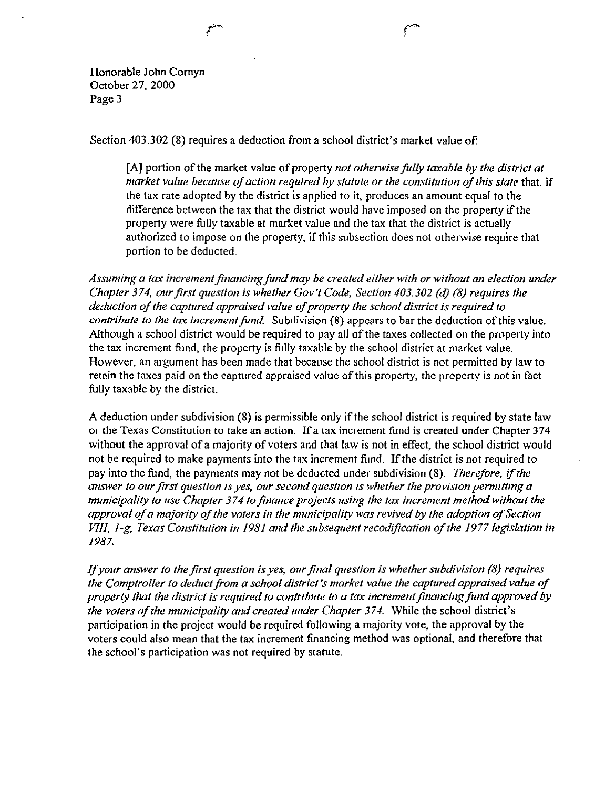Honorable John Comyn October 27, 2000 Page 3

Section 403.302 (8) requires a deduction from a school district's market value of:

[A] portion of the market value of property *not otherwise fully taxable by the district at market value because of action required by statute or the constitution of this state that, if* the tax rate adopted by the district is applied to it, produces an amount equal to the difference between the tax that the district would have imposed on the property if the property were fully taxable at market value and the tax that the district is actually authorized to impose on the property, if this subsection does not otherwise require that portion to be deducted.

Assuming a tax increment financing fund may be created either with or without an election under *Chapter 374, our first question is whether Gov't Code, Section 403.302 (d) (8) requires the deduction of the captured appraised value of property the school district is required to contribute to the tax increment fund.* Subdivision (8) appears to bar the deduction of this value. Although a school district would be required to pay all of the taxes collected on the property into the tax increment fund, the property is fully taxable by the school district at market value. However, an argument has been made that because the school district is not permitted by law to retain the taxes paid on the captured appraised value of this property, the property is not in fact fully taxable by the district.

A deduction under subdivision (8) is permissible only ifthe school district is required by state law or the Texas Constitution to take an action. If a tax increment fimd is created under Chapter 374 without the approval of a majority of voters and that law is not in effect, the school district would not be required to make payments into the tax increment fund. If the district is not required to pay into the fund, the payments may not be deducted under subdivision (8). *Therefore, if the* answer to our first question is yes, our second question is whether the provision permitting a *municipality to use Chapter 374 to finance projects using the tax increment method without the* approval of a majority of the voters in the municipality was revived by the adoption of Section *VIII, 1-g, Texas Constitution in 1981 and the subsequent recodification of the 1977 legislation in* 1987.

*If your answer to the first question is yes, our final question is whether subdivision (8) requires the Comptroller to deduct ffom a schooI district's market value the captured appraised value of property that the district is required to contribute to a tax increment financing fund approved by the voters of the municipality and created under Chapter* 374. While the school district's participation in the project would be required following a majority vote, the approval by the voters could also mean that the tax increment financing method was optional, and therefore that the school's participation was not required by statute.